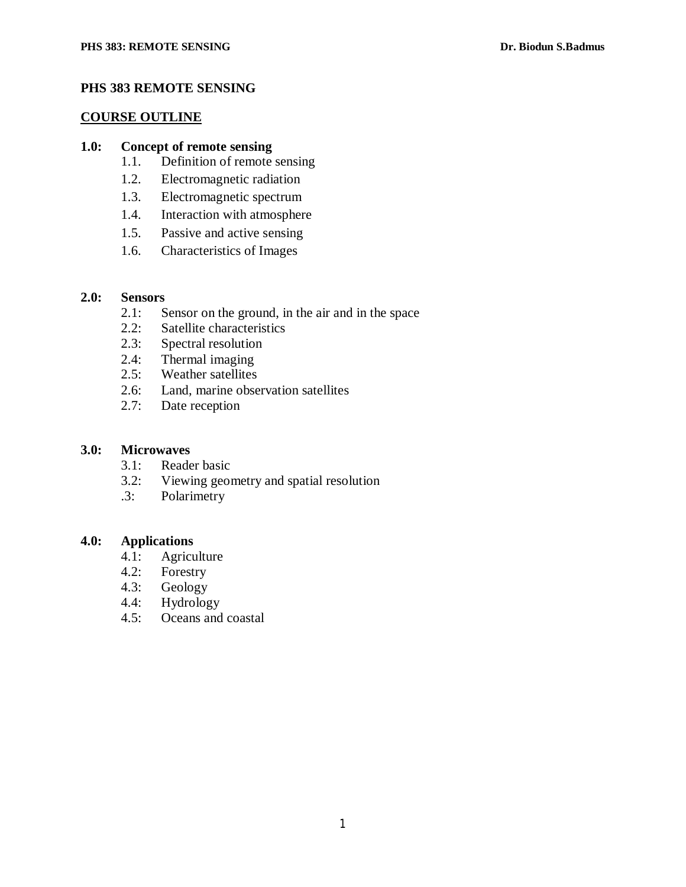## **PHS 383 REMOTE SENSING**

#### **COURSE OUTLINE**

#### **1.0: Concept of remote sensing**

- 1.1. Definition of remote sensing
- 1.2. Electromagnetic radiation
- 1.3. Electromagnetic spectrum
- 1.4. Interaction with atmosphere
- 1.5. Passive and active sensing
- 1.6. Characteristics of Images

## **2.0: Sensors**

- 2.1: Sensor on the ground, in the air and in the space<br>2.2: Satellite characteristics
- Satellite characteristics
- 2.3: Spectral resolution
- 2.4: Thermal imaging
- 2.5: Weather satellites<br>2.6: Land, marine obse
- Land, marine observation satellites
- 2.7: Date reception

#### **3.0: Microwaves**

- 3.1: Reader basic
- 3.2: Viewing geometry and spatial resolution
- .3: Polarimetry

#### **4.0: Applications**

- 4.1: Agriculture
- 4.2: Forestry
- 4.3: Geology
- 4.4: Hydrology<br>4.5: Oceans and
- Oceans and coastal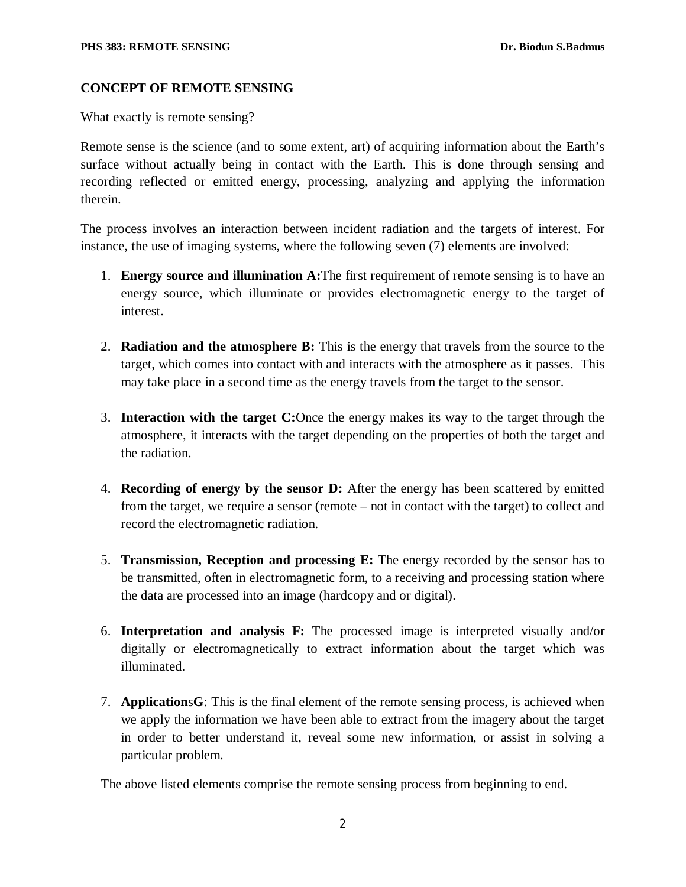#### **CONCEPT OF REMOTE SENSING**

What exactly is remote sensing?

Remote sense is the science (and to some extent, art) of acquiring information about the Earth's surface without actually being in contact with the Earth. This is done through sensing and recording reflected or emitted energy, processing, analyzing and applying the information therein.

The process involves an interaction between incident radiation and the targets of interest. For instance, the use of imaging systems, where the following seven (7) elements are involved:

- 1. **Energy source and illumination A:**The first requirement of remote sensing is to have an energy source, which illuminate or provides electromagnetic energy to the target of interest.
- 2. **Radiation and the atmosphere B:** This is the energy that travels from the source to the target, which comes into contact with and interacts with the atmosphere as it passes. This may take place in a second time as the energy travels from the target to the sensor.
- 3. **Interaction with the target C:**Once the energy makes its way to the target through the atmosphere, it interacts with the target depending on the properties of both the target and the radiation.
- 4. **Recording of energy by the sensor D:** After the energy has been scattered by emitted from the target, we require a sensor (remote – not in contact with the target) to collect and record the electromagnetic radiation.
- 5. **Transmission, Reception and processing E:** The energy recorded by the sensor has to be transmitted, often in electromagnetic form, to a receiving and processing station where the data are processed into an image (hardcopy and or digital).
- 6. **Interpretation and analysis F:** The processed image is interpreted visually and/or digitally or electromagnetically to extract information about the target which was illuminated.
- 7. **Application**s**G**: This is the final element of the remote sensing process, is achieved when we apply the information we have been able to extract from the imagery about the target in order to better understand it, reveal some new information, or assist in solving a particular problem.

The above listed elements comprise the remote sensing process from beginning to end.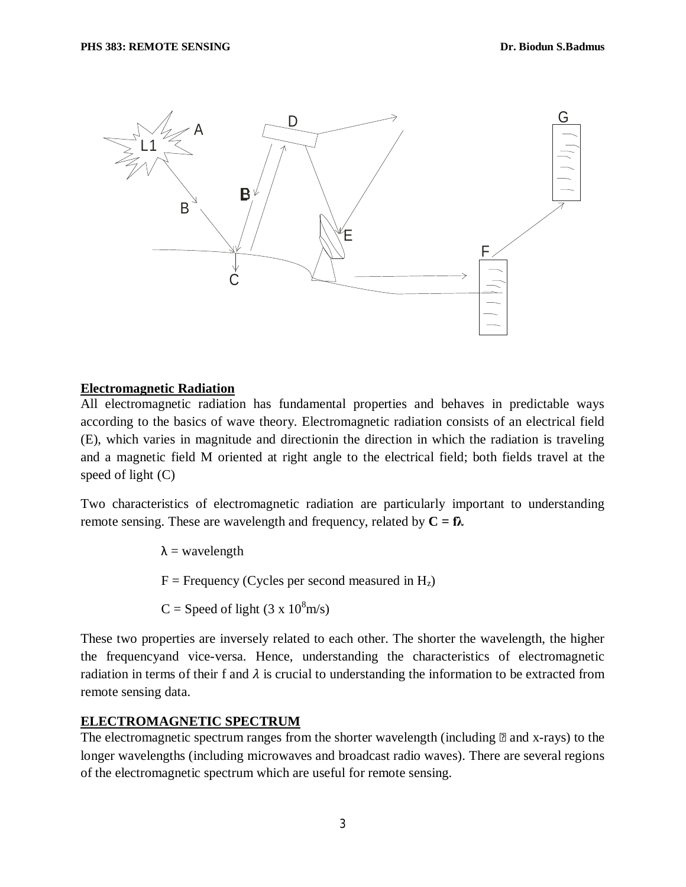

#### **Electromagnetic Radiation**

All electromagnetic radiation has fundamental properties and behaves in predictable ways according to the basics of wave theory. Electromagnetic radiation consists of an electrical field (E), which varies in magnitude and directionin the direction in which the radiation is traveling and a magnetic field M oriented at right angle to the electrical field; both fields travel at the speed of light (C)

Two characteristics of electromagnetic radiation are particularly important to understanding remote sensing. These are wavelength and frequency, related by  $C = \mathbf{f} \lambda$ 

 $\lambda$  = wavelength

 $F =$  Frequency (Cycles per second measured in  $H_z$ )

 $C =$  Speed of light (3 x 10<sup>8</sup>m/s)

These two properties are inversely related to each other. The shorter the wavelength, the higher the frequencyand vice-versa. Hence, understanding the characteristics of electromagnetic radiation in terms of their f and  $\lambda$  is crucial to understanding the information to be extracted from remote sensing data.

### **ELECTROMAGNETIC SPECTRUM**

The electromagnetic spectrum ranges from the shorter wavelength (including  $\mathbb{B}$  and x-rays) to the longer wavelengths (including microwaves and broadcast radio waves). There are several regions of the electromagnetic spectrum which are useful for remote sensing.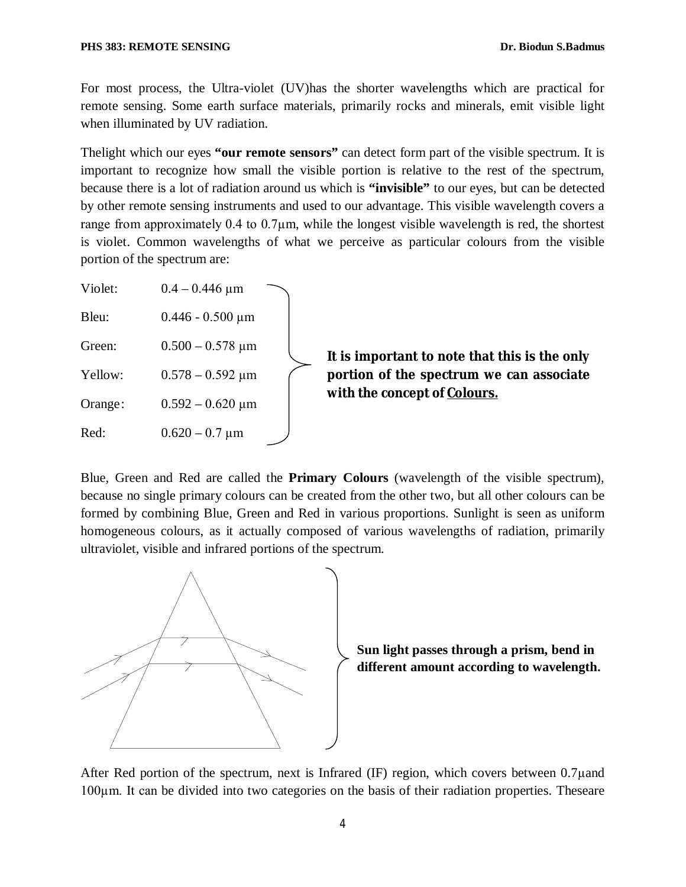For most process, the Ultra-violet (UV)has the shorter wavelengths which are practical for remote sensing. Some earth surface materials, primarily rocks and minerals, emit visible light when illuminated by UV radiation.

Thelight which our eyes **"our remote sensors"** can detect form part of the visible spectrum. It is important to recognize how small the visible portion is relative to the rest of the spectrum, because there is a lot of radiation around us which is **"invisible"** to our eyes, but can be detected by other remote sensing instruments and used to our advantage. This visible wavelength covers a range from approximately 0.4 to 0.7µm, while the longest visible wavelength is red, the shortest is violet. Common wavelengths of what we perceive as particular colours from the visible portion of the spectrum are:

| Violet: | $0.4 - 0.446$ µm      |                                                                                                                           |
|---------|-----------------------|---------------------------------------------------------------------------------------------------------------------------|
| Bleu:   | $0.446 - 0.500 \mu m$ | It is important to note that this is the only<br>portion of the spectrum we can associate<br>with the concept of Colours. |
| Green:  | $0.500 - 0.578 \mu m$ |                                                                                                                           |
| Yellow: | $0.578 - 0.592 \mu m$ |                                                                                                                           |
| Orange: | $0.592 - 0.620 \mu m$ |                                                                                                                           |
| Red:    | $0.620 - 0.7 \,\mu m$ |                                                                                                                           |

Blue, Green and Red are called the **Primary Colours** (wavelength of the visible spectrum), because no single primary colours can be created from the other two, but all other colours can be formed by combining Blue, Green and Red in various proportions. Sunlight is seen as uniform homogeneous colours, as it actually composed of various wavelengths of radiation, primarily ultraviolet, visible and infrared portions of the spectrum.



**Sun light passes through a prism, bend in different amount according to wavelength.**

After Red portion of the spectrum, next is Infrared (IF) region, which covers between 0.7µand 100µm. It can be divided into two categories on the basis of their radiation properties. Theseare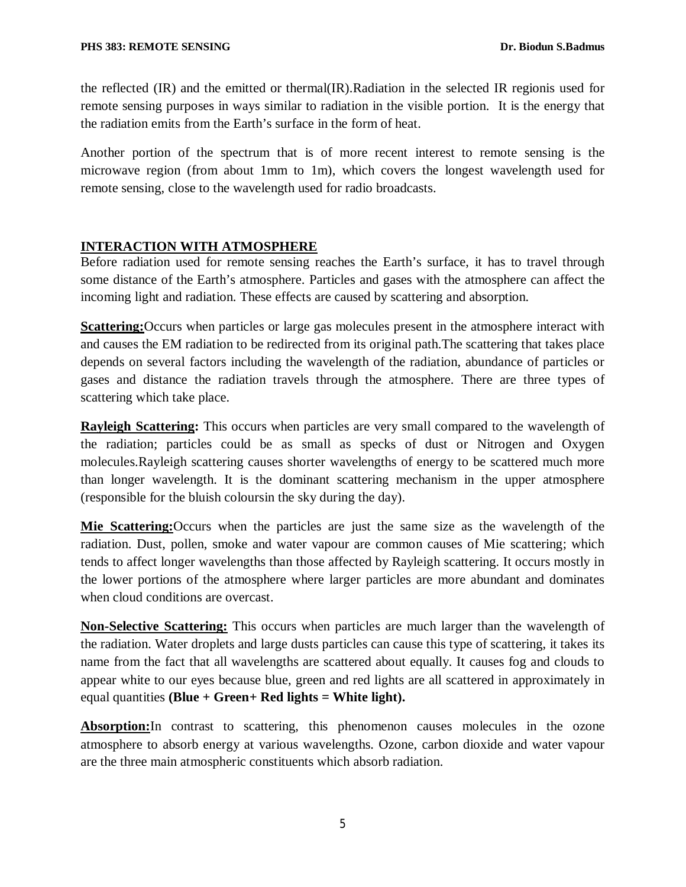the reflected (IR) and the emitted or thermal(IR).Radiation in the selected IR regionis used for remote sensing purposes in ways similar to radiation in the visible portion. It is the energy that the radiation emits from the Earth's surface in the form of heat.

Another portion of the spectrum that is of more recent interest to remote sensing is the microwave region (from about 1mm to 1m), which covers the longest wavelength used for remote sensing, close to the wavelength used for radio broadcasts.

# **INTERACTION WITH ATMOSPHERE**

Before radiation used for remote sensing reaches the Earth's surface, it has to travel through some distance of the Earth's atmosphere. Particles and gases with the atmosphere can affect the incoming light and radiation. These effects are caused by scattering and absorption.

**Scattering:**Occurs when particles or large gas molecules present in the atmosphere interact with and causes the EM radiation to be redirected from its original path.The scattering that takes place depends on several factors including the wavelength of the radiation, abundance of particles or gases and distance the radiation travels through the atmosphere. There are three types of scattering which take place.

**Rayleigh Scattering:** This occurs when particles are very small compared to the wavelength of the radiation; particles could be as small as specks of dust or Nitrogen and Oxygen molecules.Rayleigh scattering causes shorter wavelengths of energy to be scattered much more than longer wavelength. It is the dominant scattering mechanism in the upper atmosphere (responsible for the bluish coloursin the sky during the day).

**Mie Scattering:**Occurs when the particles are just the same size as the wavelength of the radiation. Dust, pollen, smoke and water vapour are common causes of Mie scattering; which tends to affect longer wavelengths than those affected by Rayleigh scattering. It occurs mostly in the lower portions of the atmosphere where larger particles are more abundant and dominates when cloud conditions are overcast.

**Non-Selective Scattering:** This occurs when particles are much larger than the wavelength of the radiation. Water droplets and large dusts particles can cause this type of scattering, it takes its name from the fact that all wavelengths are scattered about equally. It causes fog and clouds to appear white to our eyes because blue, green and red lights are all scattered in approximately in equal quantities **(Blue + Green+ Red lights = White light).**

**Absorption:**In contrast to scattering, this phenomenon causes molecules in the ozone atmosphere to absorb energy at various wavelengths. Ozone, carbon dioxide and water vapour are the three main atmospheric constituents which absorb radiation.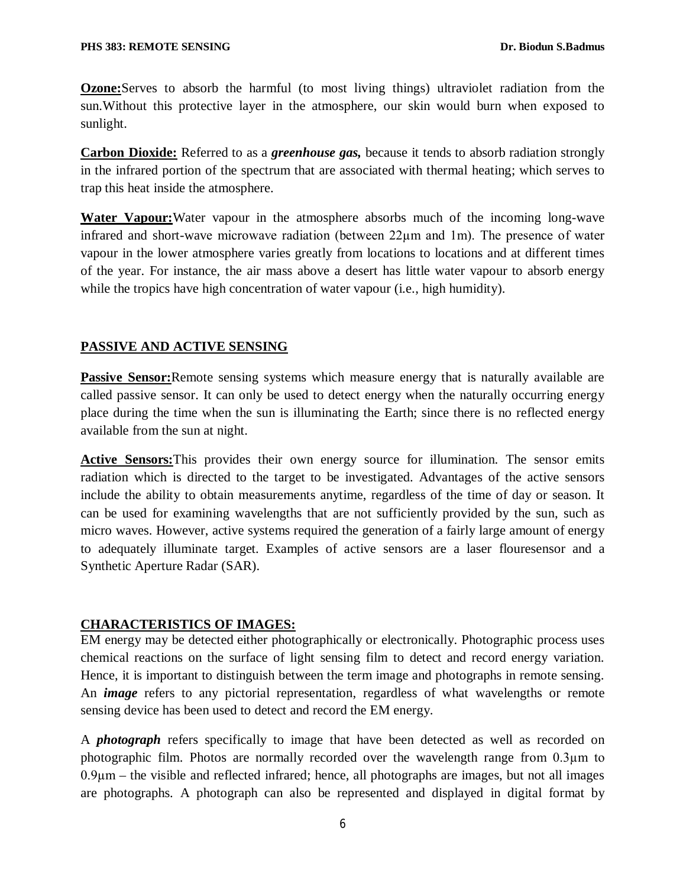**Ozone:**Serves to absorb the harmful (to most living things) ultraviolet radiation from the sun.Without this protective layer in the atmosphere, our skin would burn when exposed to sunlight.

**Carbon Dioxide:** Referred to as a *greenhouse gas,* because it tends to absorb radiation strongly in the infrared portion of the spectrum that are associated with thermal heating; which serves to trap this heat inside the atmosphere.

**Water Vapour:**Water vapour in the atmosphere absorbs much of the incoming long-wave infrared and short-wave microwave radiation (between 22µm and 1m). The presence of water vapour in the lower atmosphere varies greatly from locations to locations and at different times of the year. For instance, the air mass above a desert has little water vapour to absorb energy while the tropics have high concentration of water vapour (i.e., high humidity).

## **PASSIVE AND ACTIVE SENSING**

**Passive Sensor:**Remote sensing systems which measure energy that is naturally available are called passive sensor. It can only be used to detect energy when the naturally occurring energy place during the time when the sun is illuminating the Earth; since there is no reflected energy available from the sun at night.

**Active Sensors:**This provides their own energy source for illumination. The sensor emits radiation which is directed to the target to be investigated. Advantages of the active sensors include the ability to obtain measurements anytime, regardless of the time of day or season. It can be used for examining wavelengths that are not sufficiently provided by the sun, such as micro waves. However, active systems required the generation of a fairly large amount of energy to adequately illuminate target. Examples of active sensors are a laser flouresensor and a Synthetic Aperture Radar (SAR).

# **CHARACTERISTICS OF IMAGES:**

EM energy may be detected either photographically or electronically. Photographic process uses chemical reactions on the surface of light sensing film to detect and record energy variation. Hence, it is important to distinguish between the term image and photographs in remote sensing. An *image* refers to any pictorial representation, regardless of what wavelengths or remote sensing device has been used to detect and record the EM energy.

A *photograph* refers specifically to image that have been detected as well as recorded on photographic film. Photos are normally recorded over the wavelength range from 0.3µm to  $0.9\mu$ m – the visible and reflected infrared; hence, all photographs are images, but not all images are photographs. A photograph can also be represented and displayed in digital format by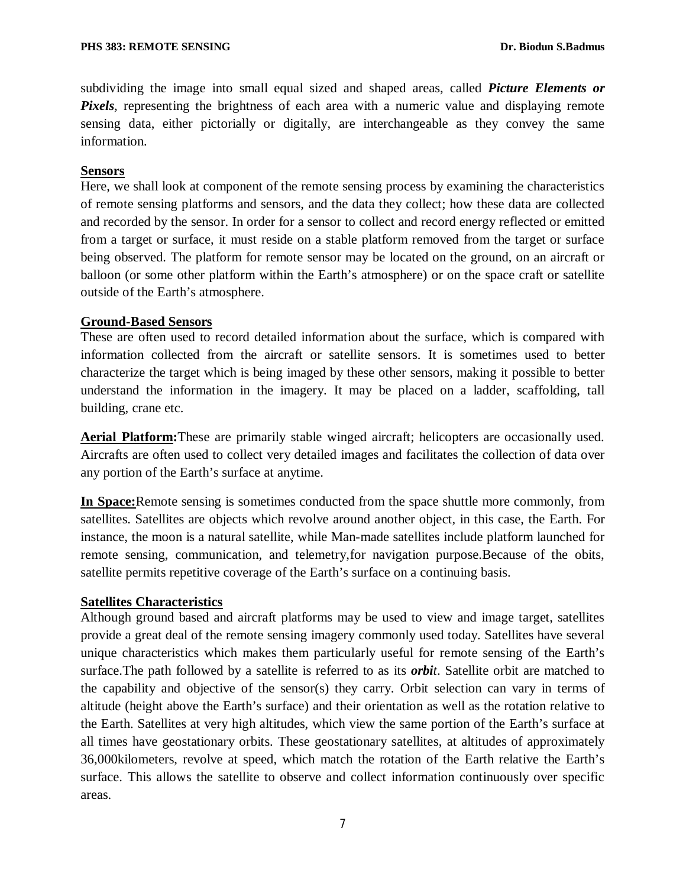subdividing the image into small equal sized and shaped areas, called *Picture Elements or Pixels*, representing the brightness of each area with a numeric value and displaying remote sensing data, either pictorially or digitally, are interchangeable as they convey the same information.

### **Sensors**

Here, we shall look at component of the remote sensing process by examining the characteristics of remote sensing platforms and sensors, and the data they collect; how these data are collected and recorded by the sensor. In order for a sensor to collect and record energy reflected or emitted from a target or surface, it must reside on a stable platform removed from the target or surface being observed. The platform for remote sensor may be located on the ground, on an aircraft or balloon (or some other platform within the Earth's atmosphere) or on the space craft or satellite outside of the Earth's atmosphere.

## **Ground-Based Sensors**

These are often used to record detailed information about the surface, which is compared with information collected from the aircraft or satellite sensors. It is sometimes used to better characterize the target which is being imaged by these other sensors, making it possible to better understand the information in the imagery. It may be placed on a ladder, scaffolding, tall building, crane etc.

**Aerial Platform:**These are primarily stable winged aircraft; helicopters are occasionally used. Aircrafts are often used to collect very detailed images and facilitates the collection of data over any portion of the Earth's surface at anytime.

**In Space:**Remote sensing is sometimes conducted from the space shuttle more commonly, from satellites. Satellites are objects which revolve around another object, in this case, the Earth. For instance, the moon is a natural satellite, while Man-made satellites include platform launched for remote sensing, communication, and telemetry,for navigation purpose.Because of the obits, satellite permits repetitive coverage of the Earth's surface on a continuing basis.

### **Satellites Characteristics**

Although ground based and aircraft platforms may be used to view and image target, satellites provide a great deal of the remote sensing imagery commonly used today. Satellites have several unique characteristics which makes them particularly useful for remote sensing of the Earth's surface.The path followed by a satellite is referred to as its *orbit*. Satellite orbit are matched to the capability and objective of the sensor(s) they carry. Orbit selection can vary in terms of altitude (height above the Earth's surface) and their orientation as well as the rotation relative to the Earth. Satellites at very high altitudes, which view the same portion of the Earth's surface at all times have geostationary orbits. These geostationary satellites, at altitudes of approximately 36,000kilometers, revolve at speed, which match the rotation of the Earth relative the Earth's surface. This allows the satellite to observe and collect information continuously over specific areas.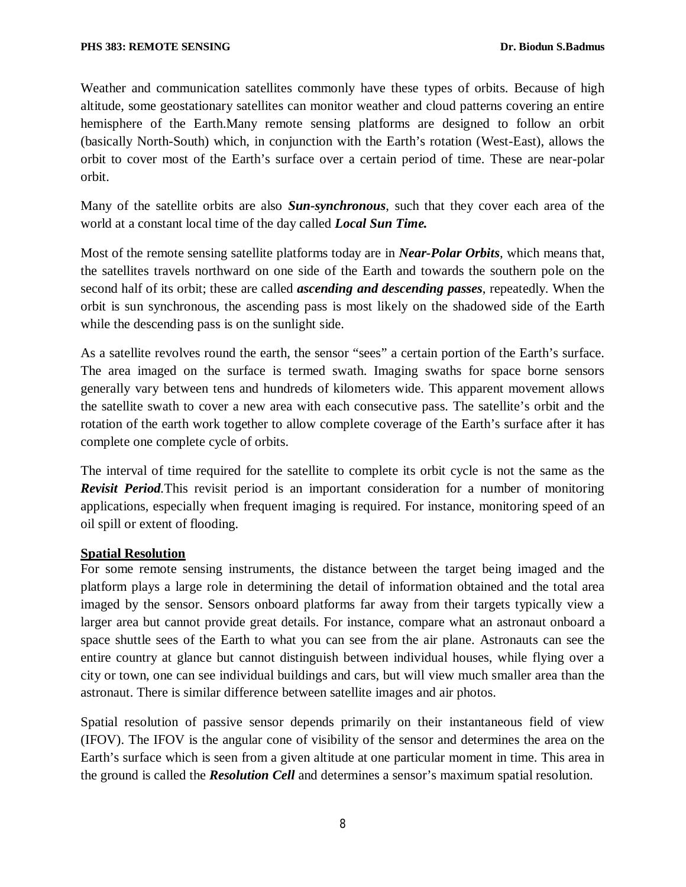Weather and communication satellites commonly have these types of orbits. Because of high altitude, some geostationary satellites can monitor weather and cloud patterns covering an entire hemisphere of the Earth.Many remote sensing platforms are designed to follow an orbit (basically North-South) which, in conjunction with the Earth's rotation (West-East), allows the orbit to cover most of the Earth's surface over a certain period of time. These are near-polar orbit.

Many of the satellite orbits are also *Sun-synchronous*, such that they cover each area of the world at a constant local time of the day called *Local Sun Time.*

Most of the remote sensing satellite platforms today are in *Near-Polar Orbits*, which means that, the satellites travels northward on one side of the Earth and towards the southern pole on the second half of its orbit; these are called *ascending and descending passes*, repeatedly. When the orbit is sun synchronous, the ascending pass is most likely on the shadowed side of the Earth while the descending pass is on the sunlight side.

As a satellite revolves round the earth, the sensor "sees" a certain portion of the Earth's surface. The area imaged on the surface is termed swath. Imaging swaths for space borne sensors generally vary between tens and hundreds of kilometers wide. This apparent movement allows the satellite swath to cover a new area with each consecutive pass. The satellite's orbit and the rotation of the earth work together to allow complete coverage of the Earth's surface after it has complete one complete cycle of orbits.

The interval of time required for the satellite to complete its orbit cycle is not the same as the *Revisit Period.*This revisit period is an important consideration for a number of monitoring applications, especially when frequent imaging is required. For instance, monitoring speed of an oil spill or extent of flooding.

### **Spatial Resolution**

For some remote sensing instruments, the distance between the target being imaged and the platform plays a large role in determining the detail of information obtained and the total area imaged by the sensor. Sensors onboard platforms far away from their targets typically view a larger area but cannot provide great details. For instance, compare what an astronaut onboard a space shuttle sees of the Earth to what you can see from the air plane. Astronauts can see the entire country at glance but cannot distinguish between individual houses, while flying over a city or town, one can see individual buildings and cars, but will view much smaller area than the astronaut. There is similar difference between satellite images and air photos.

Spatial resolution of passive sensor depends primarily on their instantaneous field of view (IFOV). The IFOV is the angular cone of visibility of the sensor and determines the area on the Earth's surface which is seen from a given altitude at one particular moment in time. This area in the ground is called the *Resolution Cell* and determines a sensor's maximum spatial resolution.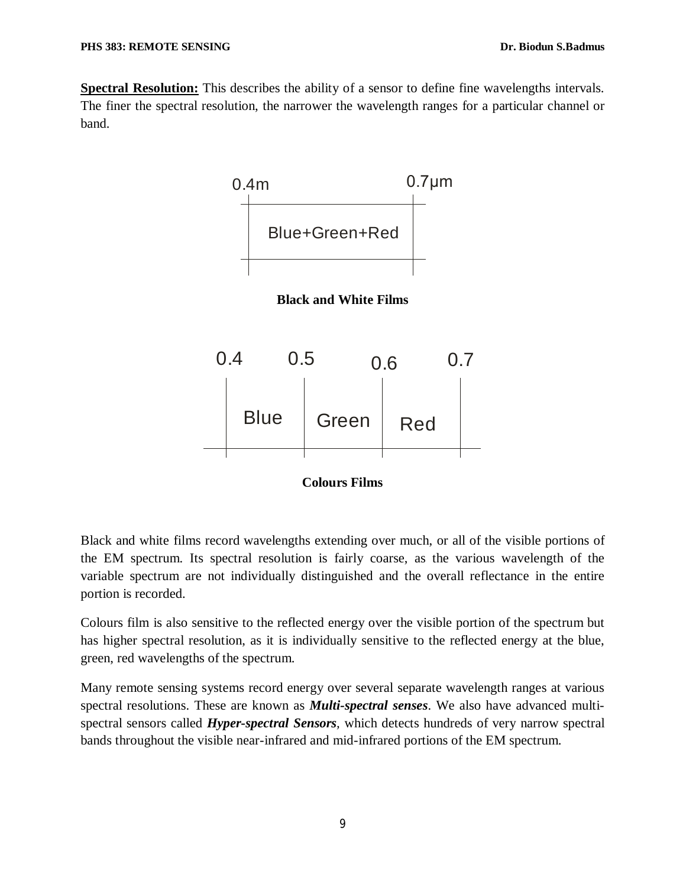**Spectral Resolution:** This describes the ability of a sensor to define fine wavelengths intervals. The finer the spectral resolution, the narrower the wavelength ranges for a particular channel or band.







Black and white films record wavelengths extending over much, or all of the visible portions of the EM spectrum. Its spectral resolution is fairly coarse, as the various wavelength of the variable spectrum are not individually distinguished and the overall reflectance in the entire portion is recorded.

Colours film is also sensitive to the reflected energy over the visible portion of the spectrum but has higher spectral resolution, as it is individually sensitive to the reflected energy at the blue, green, red wavelengths of the spectrum.

Many remote sensing systems record energy over several separate wavelength ranges at various spectral resolutions. These are known as *Multi-spectral senses*. We also have advanced multispectral sensors called *Hyper-spectral Sensors,* which detects hundreds of very narrow spectral bands throughout the visible near-infrared and mid-infrared portions of the EM spectrum.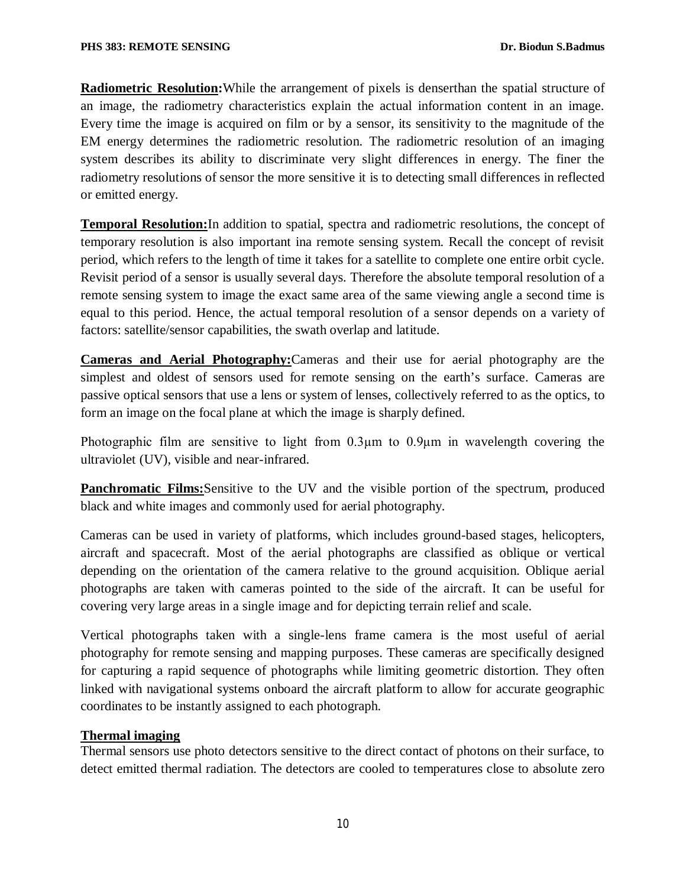**Radiometric Resolution:**While the arrangement of pixels is denserthan the spatial structure of an image, the radiometry characteristics explain the actual information content in an image. Every time the image is acquired on film or by a sensor, its sensitivity to the magnitude of the EM energy determines the radiometric resolution. The radiometric resolution of an imaging system describes its ability to discriminate very slight differences in energy. The finer the radiometry resolutions of sensor the more sensitive it is to detecting small differences in reflected or emitted energy.

**Temporal Resolution:**In addition to spatial, spectra and radiometric resolutions, the concept of temporary resolution is also important ina remote sensing system. Recall the concept of revisit period, which refers to the length of time it takes for a satellite to complete one entire orbit cycle. Revisit period of a sensor is usually several days. Therefore the absolute temporal resolution of a remote sensing system to image the exact same area of the same viewing angle a second time is equal to this period. Hence, the actual temporal resolution of a sensor depends on a variety of factors: satellite/sensor capabilities, the swath overlap and latitude.

**Cameras and Aerial Photography:**Cameras and their use for aerial photography are the simplest and oldest of sensors used for remote sensing on the earth's surface. Cameras are passive optical sensors that use a lens or system of lenses, collectively referred to as the optics, to form an image on the focal plane at which the image is sharply defined.

Photographic film are sensitive to light from 0.3µm to 0.9µm in wavelength covering the ultraviolet (UV), visible and near-infrared.

**Panchromatic Films:**Sensitive to the UV and the visible portion of the spectrum, produced black and white images and commonly used for aerial photography.

Cameras can be used in variety of platforms, which includes ground-based stages, helicopters, aircraft and spacecraft. Most of the aerial photographs are classified as oblique or vertical depending on the orientation of the camera relative to the ground acquisition. Oblique aerial photographs are taken with cameras pointed to the side of the aircraft. It can be useful for covering very large areas in a single image and for depicting terrain relief and scale.

Vertical photographs taken with a single-lens frame camera is the most useful of aerial photography for remote sensing and mapping purposes. These cameras are specifically designed for capturing a rapid sequence of photographs while limiting geometric distortion. They often linked with navigational systems onboard the aircraft platform to allow for accurate geographic coordinates to be instantly assigned to each photograph.

# **Thermal imaging**

Thermal sensors use photo detectors sensitive to the direct contact of photons on their surface, to detect emitted thermal radiation. The detectors are cooled to temperatures close to absolute zero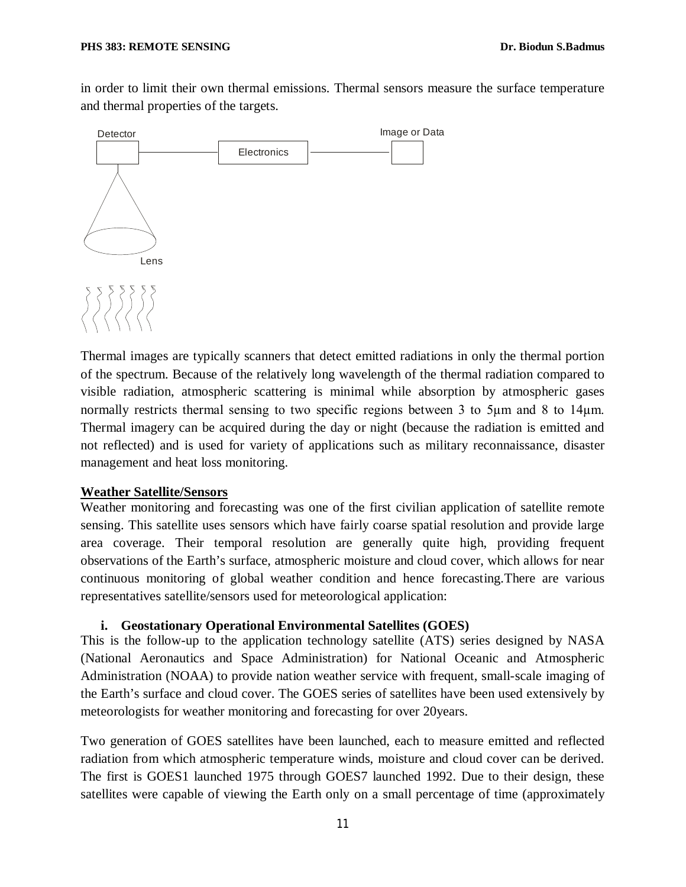in order to limit their own thermal emissions. Thermal sensors measure the surface temperature and thermal properties of the targets.



Thermal images are typically scanners that detect emitted radiations in only the thermal portion of the spectrum. Because of the relatively long wavelength of the thermal radiation compared to visible radiation, atmospheric scattering is minimal while absorption by atmospheric gases normally restricts thermal sensing to two specific regions between 3 to 5 $\mu$ m and 8 to 14 $\mu$ m. Thermal imagery can be acquired during the day or night (because the radiation is emitted and not reflected) and is used for variety of applications such as military reconnaissance, disaster management and heat loss monitoring.

#### **Weather Satellite/Sensors**

Weather monitoring and forecasting was one of the first civilian application of satellite remote sensing. This satellite uses sensors which have fairly coarse spatial resolution and provide large area coverage. Their temporal resolution are generally quite high, providing frequent observations of the Earth's surface, atmospheric moisture and cloud cover, which allows for near continuous monitoring of global weather condition and hence forecasting.There are various representatives satellite/sensors used for meteorological application:

#### **i. Geostationary Operational Environmental Satellites (GOES)**

This is the follow-up to the application technology satellite (ATS) series designed by NASA (National Aeronautics and Space Administration) for National Oceanic and Atmospheric Administration (NOAA) to provide nation weather service with frequent, small-scale imaging of the Earth's surface and cloud cover. The GOES series of satellites have been used extensively by meteorologists for weather monitoring and forecasting for over 20years.

Two generation of GOES satellites have been launched, each to measure emitted and reflected radiation from which atmospheric temperature winds, moisture and cloud cover can be derived. The first is GOES1 launched 1975 through GOES7 launched 1992. Due to their design, these satellites were capable of viewing the Earth only on a small percentage of time (approximately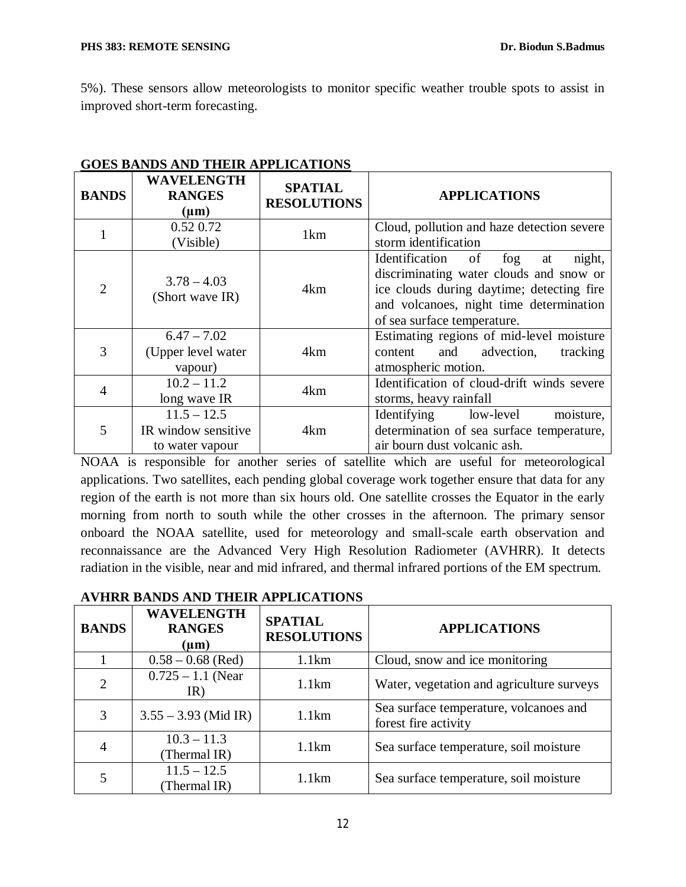5%). These sensors allow meteorologists to monitor specific weather trouble spots to assist in improved short-term forecasting.

| oves bands and their all divations |                                                         |                                      |                                                                                                                                                                                                            |  |
|------------------------------------|---------------------------------------------------------|--------------------------------------|------------------------------------------------------------------------------------------------------------------------------------------------------------------------------------------------------------|--|
| <b>BANDS</b>                       | <b>WAVELENGTH</b><br><b>RANGES</b><br>$(\mu m)$         | <b>SPATIAL</b><br><b>RESOLUTIONS</b> | <b>APPLICATIONS</b>                                                                                                                                                                                        |  |
|                                    | 0.52 0.72<br>(Visible)                                  | 1 <sub>km</sub>                      | Cloud, pollution and haze detection severe<br>storm identification                                                                                                                                         |  |
| $\overline{2}$                     | $3.78 - 4.03$<br>(Short wave IR)                        | 4km                                  | Identification of<br>fog<br>night,<br>at<br>discriminating water clouds and snow or<br>ice clouds during daytime; detecting fire<br>and volcanoes, night time determination<br>of sea surface temperature. |  |
| 3                                  | $6.47 - 7.02$<br>(Upper level water<br>vapour)          | 4km                                  | Estimating regions of mid-level moisture<br>and advection,<br>content<br>tracking<br>atmospheric motion.                                                                                                   |  |
| 4                                  | $10.2 - 11.2$<br>long wave IR                           | 4km                                  | Identification of cloud-drift winds severe<br>storms, heavy rainfall                                                                                                                                       |  |
| 5                                  | $11.5 - 12.5$<br>IR window sensitive<br>to water vapour | 4km                                  | moisture,<br>Identifying low-level<br>determination of sea surface temperature,<br>air bourn dust volcanic ash.                                                                                            |  |

### **GOES BANDS AND THEIR APPLICATIONS**

NOAA is responsible for another series of satellite which are useful for meteorological applications. Two satellites, each pending global coverage work together ensure that data for any region of the earth is not more than six hours old. One satellite crosses the Equator in the early morning from north to south while the other crosses in the afternoon. The primary sensor onboard the NOAA satellite, used for meteorology and small-scale earth observation and reconnaissance are the Advanced Very High Resolution Radiometer (AVHRR). It detects radiation in the visible, near and mid infrared, and thermal infrared portions of the EM spectrum.

| <b>BANDS</b>   | <b>WAVELENGTH</b><br><b>RANGES</b><br>$(\mu m)$ | <b>SPATIAL</b><br><b>RESOLUTIONS</b> | <b>APPLICATIONS</b>                                            |
|----------------|-------------------------------------------------|--------------------------------------|----------------------------------------------------------------|
|                | $0.58 - 0.68$ (Red)                             | 1.1km                                | Cloud, snow and ice monitoring                                 |
| $\overline{2}$ | $0.725 - 1.1$ (Near)<br>IR)                     | 1.1km                                | Water, vegetation and agriculture surveys                      |
| 3              | $3.55 - 3.93$ (Mid IR)                          | 1.1km                                | Sea surface temperature, volcanoes and<br>forest fire activity |
| $\overline{4}$ | $10.3 - 11.3$<br>(Thermal IR)                   | 1.1km                                | Sea surface temperature, soil moisture                         |
|                | $11.5 - 12.5$<br>(Thermal IR)                   | 1.1km                                | Sea surface temperature, soil moisture                         |

### **AVHRR BANDS AND THEIR APPLICATIONS**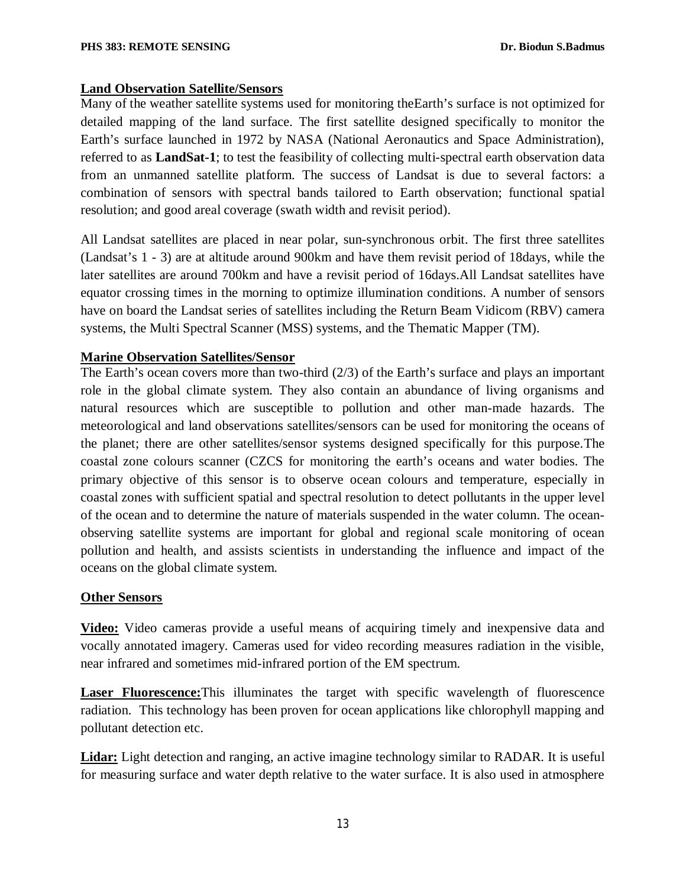### **Land Observation Satellite/Sensors**

Many of the weather satellite systems used for monitoring theEarth's surface is not optimized for detailed mapping of the land surface. The first satellite designed specifically to monitor the Earth's surface launched in 1972 by NASA (National Aeronautics and Space Administration), referred to as **LandSat-1**; to test the feasibility of collecting multi-spectral earth observation data from an unmanned satellite platform. The success of Landsat is due to several factors: a combination of sensors with spectral bands tailored to Earth observation; functional spatial resolution; and good areal coverage (swath width and revisit period).

All Landsat satellites are placed in near polar, sun-synchronous orbit. The first three satellites (Landsat's 1 - 3) are at altitude around 900km and have them revisit period of 18days, while the later satellites are around 700km and have a revisit period of 16days.All Landsat satellites have equator crossing times in the morning to optimize illumination conditions. A number of sensors have on board the Landsat series of satellites including the Return Beam Vidicom (RBV) camera systems, the Multi Spectral Scanner (MSS) systems, and the Thematic Mapper (TM).

### **Marine Observation Satellites/Sensor**

The Earth's ocean covers more than two-third (2/3) of the Earth's surface and plays an important role in the global climate system. They also contain an abundance of living organisms and natural resources which are susceptible to pollution and other man-made hazards. The meteorological and land observations satellites/sensors can be used for monitoring the oceans of the planet; there are other satellites/sensor systems designed specifically for this purpose.The coastal zone colours scanner (CZCS for monitoring the earth's oceans and water bodies. The primary objective of this sensor is to observe ocean colours and temperature, especially in coastal zones with sufficient spatial and spectral resolution to detect pollutants in the upper level of the ocean and to determine the nature of materials suspended in the water column. The oceanobserving satellite systems are important for global and regional scale monitoring of ocean pollution and health, and assists scientists in understanding the influence and impact of the oceans on the global climate system.

### **Other Sensors**

**Video:** Video cameras provide a useful means of acquiring timely and inexpensive data and vocally annotated imagery. Cameras used for video recording measures radiation in the visible, near infrared and sometimes mid-infrared portion of the EM spectrum.

**Laser Fluorescence:**This illuminates the target with specific wavelength of fluorescence radiation. This technology has been proven for ocean applications like chlorophyll mapping and pollutant detection etc.

**Lidar:** Light detection and ranging, an active imagine technology similar to RADAR. It is useful for measuring surface and water depth relative to the water surface. It is also used in atmosphere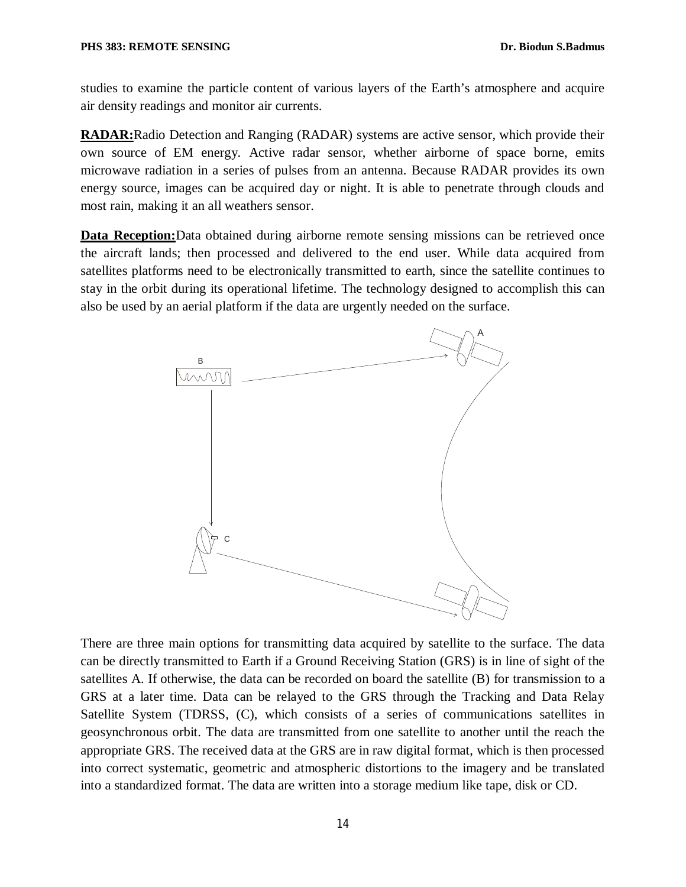studies to examine the particle content of various layers of the Earth's atmosphere and acquire air density readings and monitor air currents.

**RADAR:**Radio Detection and Ranging (RADAR) systems are active sensor, which provide their own source of EM energy. Active radar sensor, whether airborne of space borne, emits microwave radiation in a series of pulses from an antenna. Because RADAR provides its own energy source, images can be acquired day or night. It is able to penetrate through clouds and most rain, making it an all weathers sensor.

**Data Reception:**Data obtained during airborne remote sensing missions can be retrieved once the aircraft lands; then processed and delivered to the end user. While data acquired from satellites platforms need to be electronically transmitted to earth, since the satellite continues to stay in the orbit during its operational lifetime. The technology designed to accomplish this can also be used by an aerial platform if the data are urgently needed on the surface.



There are three main options for transmitting data acquired by satellite to the surface. The data can be directly transmitted to Earth if a Ground Receiving Station (GRS) is in line of sight of the satellites A. If otherwise, the data can be recorded on board the satellite (B) for transmission to a GRS at a later time. Data can be relayed to the GRS through the Tracking and Data Relay Satellite System (TDRSS, (C), which consists of a series of communications satellites in geosynchronous orbit. The data are transmitted from one satellite to another until the reach the appropriate GRS. The received data at the GRS are in raw digital format, which is then processed into correct systematic, geometric and atmospheric distortions to the imagery and be translated into a standardized format. The data are written into a storage medium like tape, disk or CD.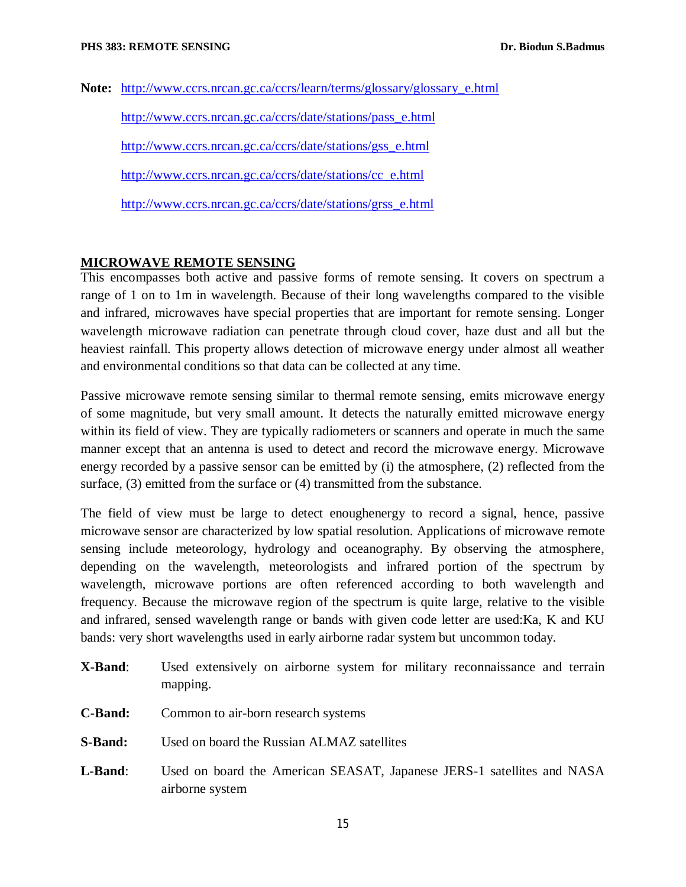**Note:** http://www.ccrs.nrcan.gc.ca/ccrs/learn/terms/glossary/glossary\_e.html

http://www.ccrs.nrcan.gc.ca/ccrs/date/stations/pass\_e.html http://www.ccrs.nrcan.gc.ca/ccrs/date/stations/gss\_e.html http://www.ccrs.nrcan.gc.ca/ccrs/date/stations/cc\_e.html http://www.ccrs.nrcan.gc.ca/ccrs/date/stations/grss\_e.html

## **MICROWAVE REMOTE SENSING**

This encompasses both active and passive forms of remote sensing. It covers on spectrum a range of 1 on to 1m in wavelength. Because of their long wavelengths compared to the visible and infrared, microwaves have special properties that are important for remote sensing. Longer wavelength microwave radiation can penetrate through cloud cover, haze dust and all but the heaviest rainfall. This property allows detection of microwave energy under almost all weather and environmental conditions so that data can be collected at any time.

Passive microwave remote sensing similar to thermal remote sensing, emits microwave energy of some magnitude, but very small amount. It detects the naturally emitted microwave energy within its field of view. They are typically radiometers or scanners and operate in much the same manner except that an antenna is used to detect and record the microwave energy. Microwave energy recorded by a passive sensor can be emitted by (i) the atmosphere, (2) reflected from the surface, (3) emitted from the surface or (4) transmitted from the substance.

The field of view must be large to detect enoughenergy to record a signal, hence, passive microwave sensor are characterized by low spatial resolution. Applications of microwave remote sensing include meteorology, hydrology and oceanography. By observing the atmosphere, depending on the wavelength, meteorologists and infrared portion of the spectrum by wavelength, microwave portions are often referenced according to both wavelength and frequency. Because the microwave region of the spectrum is quite large, relative to the visible and infrared, sensed wavelength range or bands with given code letter are used:Ka, K and KU bands: very short wavelengths used in early airborne radar system but uncommon today.

- **X-Band**: Used extensively on airborne system for military reconnaissance and terrain mapping. **C-Band:** Common to air-born research systems **S-Band:** Used on board the Russian ALMAZ satellites
- **L-Band**: Used on board the American SEASAT, Japanese JERS-1 satellites and NASA airborne system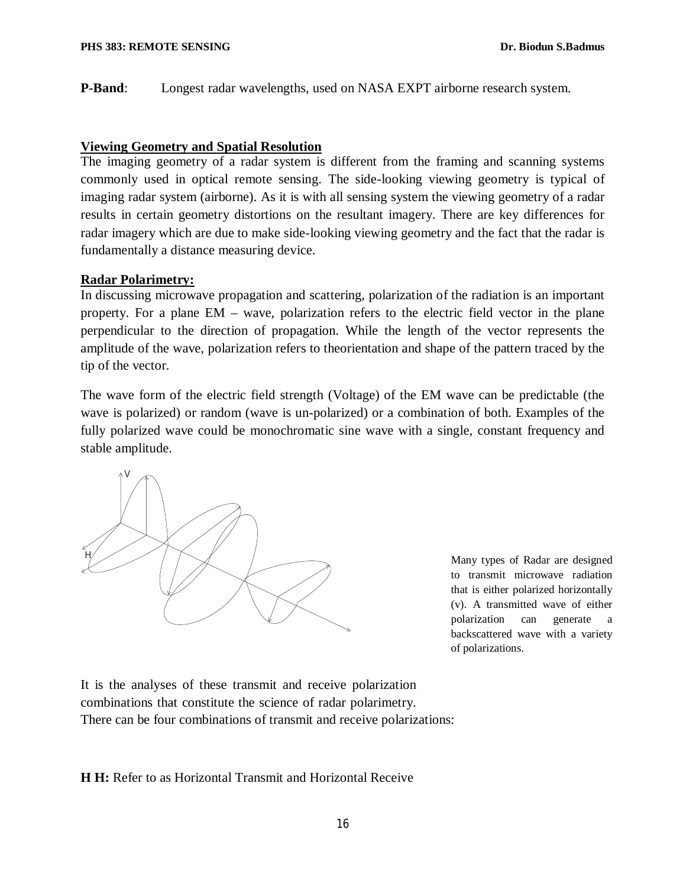**P-Band**: Longest radar wavelengths, used on NASA EXPT airborne research system.

#### **Viewing Geometry and Spatial Resolution**

The imaging geometry of a radar system is different from the framing and scanning systems commonly used in optical remote sensing. The side-looking viewing geometry is typical of imaging radar system (airborne). As it is with all sensing system the viewing geometry of a radar results in certain geometry distortions on the resultant imagery. There are key differences for radar imagery which are due to make side-looking viewing geometry and the fact that the radar is fundamentally a distance measuring device.

### **Radar Polarimetry:**

In discussing microwave propagation and scattering, polarization of the radiation is an important property. For a plane EM – wave, polarization refers to the electric field vector in the plane perpendicular to the direction of propagation. While the length of the vector represents the amplitude of the wave, polarization refers to theorientation and shape of the pattern traced by the tip of the vector.

The wave form of the electric field strength (Voltage) of the EM wave can be predictable (the wave is polarized) or random (wave is un-polarized) or a combination of both. Examples of the fully polarized wave could be monochromatic sine wave with a single, constant frequency and stable amplitude.



Many types of Radar are designed to transmit microwave radiation that is either polarized horizontally (v). A transmitted wave of either polarization can generate a backscattered wave with a variety of polarizations.

It is the analyses of these transmit and receive polarization combinations that constitute the science of radar polarimetry. There can be four combinations of transmit and receive polarizations:

**H H:** Refer to as Horizontal Transmit and Horizontal Receive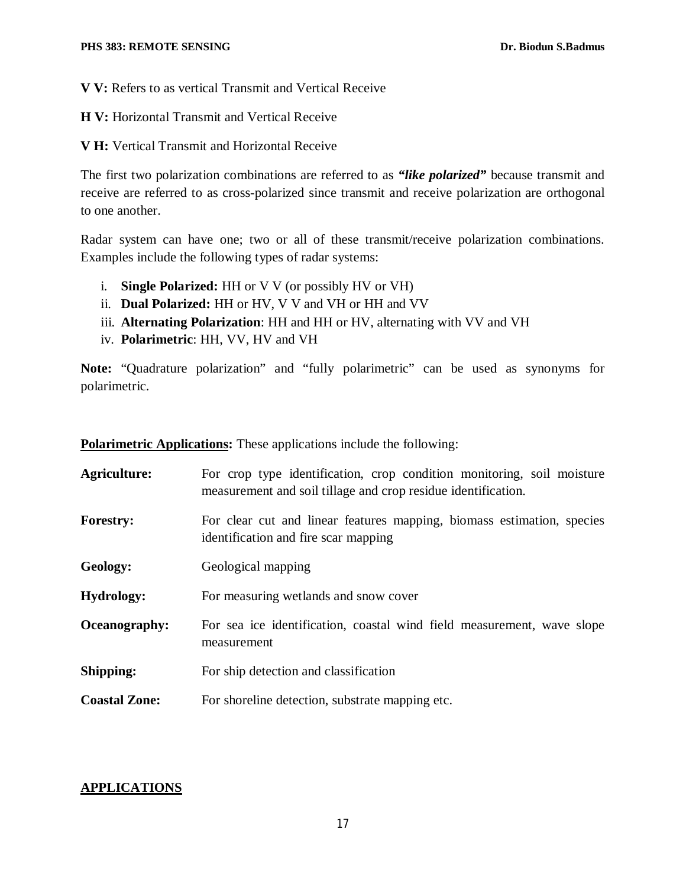**V V:** Refers to as vertical Transmit and Vertical Receive

**H V:** Horizontal Transmit and Vertical Receive

**V H:** Vertical Transmit and Horizontal Receive

The first two polarization combinations are referred to as *"like polarized"* because transmit and receive are referred to as cross-polarized since transmit and receive polarization are orthogonal to one another.

Radar system can have one; two or all of these transmit/receive polarization combinations. Examples include the following types of radar systems:

- i. **Single Polarized:** HH or V V (or possibly HV or VH)
- ii. **Dual Polarized:** HH or HV, V V and VH or HH and VV
- iii. **Alternating Polarization**: HH and HH or HV, alternating with VV and VH
- iv. **Polarimetric**: HH, VV, HV and VH

**Note:** "Quadrature polarization" and "fully polarimetric" can be used as synonyms for polarimetric.

|                      | <b>Polarimetric Applications:</b> These applications include the following:                                                             |  |
|----------------------|-----------------------------------------------------------------------------------------------------------------------------------------|--|
| Agriculture:         | For crop type identification, crop condition monitoring, soil moisture<br>measurement and soil tillage and crop residue identification. |  |
| <b>Forestry:</b>     | For clear cut and linear features mapping, biomass estimation, species<br>identification and fire scar mapping                          |  |
| Geology:             | Geological mapping                                                                                                                      |  |
| <b>Hydrology:</b>    | For measuring wetlands and snow cover                                                                                                   |  |
| Oceanography:        | For sea ice identification, coastal wind field measurement, wave slope<br>measurement                                                   |  |
| Shipping:            | For ship detection and classification                                                                                                   |  |
| <b>Coastal Zone:</b> | For shoreline detection, substrate mapping etc.                                                                                         |  |

## **APPLICATIONS**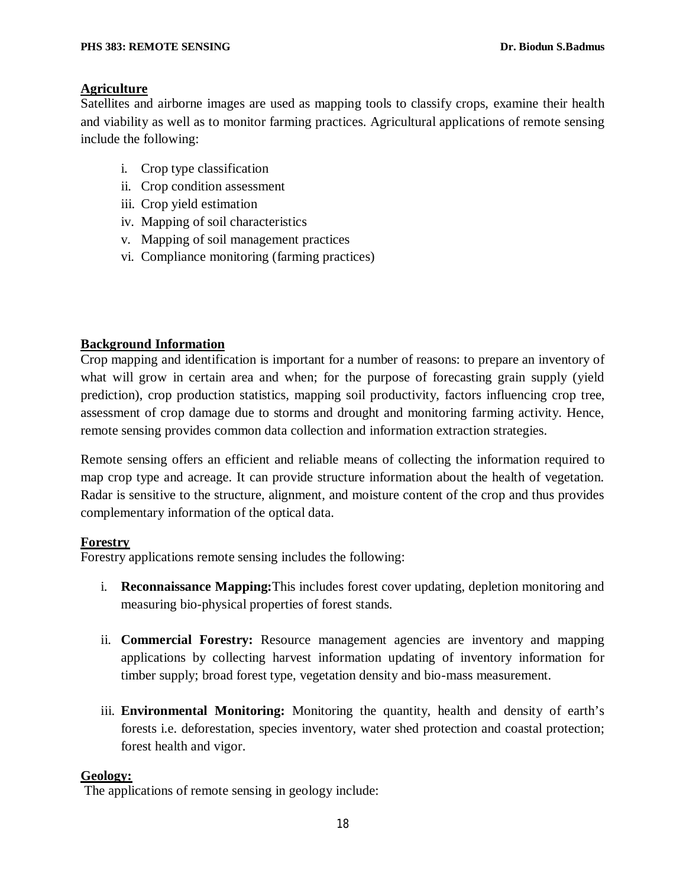## **Agriculture**

Satellites and airborne images are used as mapping tools to classify crops, examine their health and viability as well as to monitor farming practices. Agricultural applications of remote sensing include the following:

- i. Crop type classification
- ii. Crop condition assessment
- iii. Crop yield estimation
- iv. Mapping of soil characteristics
- v. Mapping of soil management practices
- vi. Compliance monitoring (farming practices)

# **Background Information**

Crop mapping and identification is important for a number of reasons: to prepare an inventory of what will grow in certain area and when; for the purpose of forecasting grain supply (yield prediction), crop production statistics, mapping soil productivity, factors influencing crop tree, assessment of crop damage due to storms and drought and monitoring farming activity. Hence, remote sensing provides common data collection and information extraction strategies.

Remote sensing offers an efficient and reliable means of collecting the information required to map crop type and acreage. It can provide structure information about the health of vegetation. Radar is sensitive to the structure, alignment, and moisture content of the crop and thus provides complementary information of the optical data.

### **Forestry**

Forestry applications remote sensing includes the following:

- i. **Reconnaissance Mapping:**This includes forest cover updating, depletion monitoring and measuring bio-physical properties of forest stands.
- ii. **Commercial Forestry:** Resource management agencies are inventory and mapping applications by collecting harvest information updating of inventory information for timber supply; broad forest type, vegetation density and bio-mass measurement.
- iii. **Environmental Monitoring:** Monitoring the quantity, health and density of earth's forests i.e. deforestation, species inventory, water shed protection and coastal protection; forest health and vigor.

### **Geology:**

The applications of remote sensing in geology include: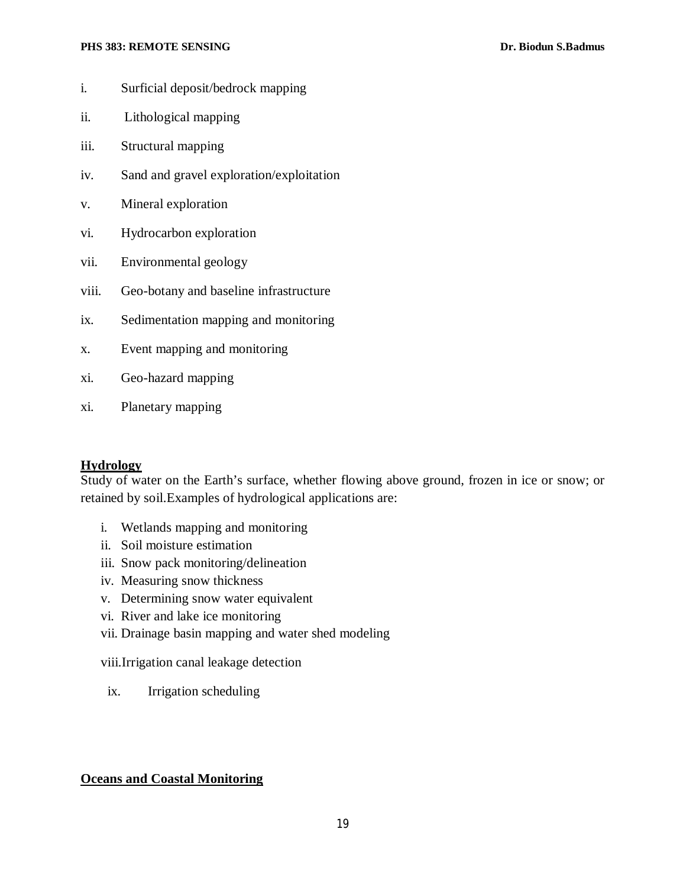#### **PHS 383: REMOTE SENSING Dr. Biodun S.Badmus**

- i. Surficial deposit/bedrock mapping
- ii. Lithological mapping
- iii. Structural mapping
- iv. Sand and gravel exploration/exploitation
- v. Mineral exploration
- vi. Hydrocarbon exploration
- vii. Environmental geology
- viii. Geo-botany and baseline infrastructure
- ix. Sedimentation mapping and monitoring
- x. Event mapping and monitoring
- xi. Geo-hazard mapping
- xi. Planetary mapping

### **Hydrology**

Study of water on the Earth's surface, whether flowing above ground, frozen in ice or snow; or retained by soil.Examples of hydrological applications are:

- i. Wetlands mapping and monitoring
- ii. Soil moisture estimation
- iii. Snow pack monitoring/delineation
- iv. Measuring snow thickness
- v. Determining snow water equivalent
- vi. River and lake ice monitoring
- vii. Drainage basin mapping and water shed modeling

viii.Irrigation canal leakage detection

ix. Irrigation scheduling

### **Oceans and Coastal Monitoring**